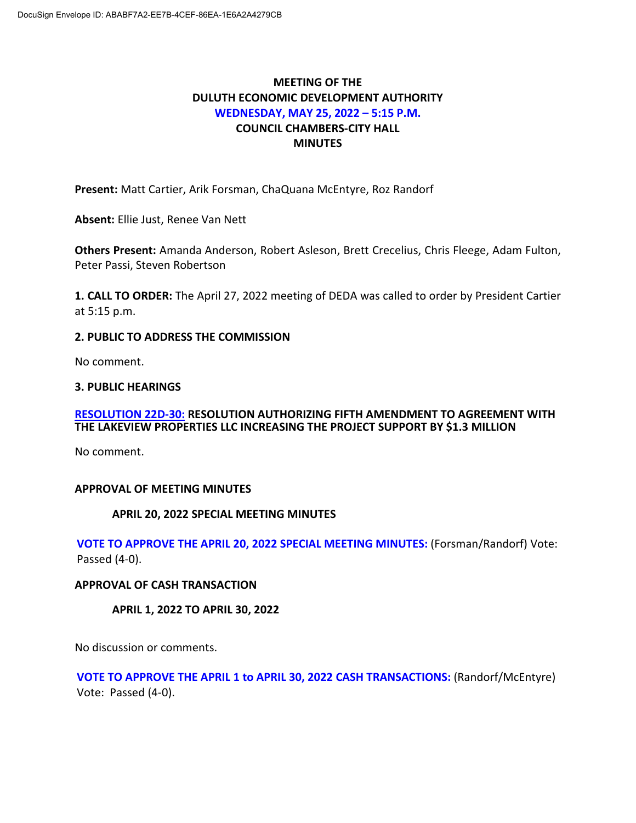# **MEETING OF THE DULUTH ECONOMIC DEVELOPMENT AUTHORITY WEDNESDAY, MAY 25, 2022 – 5:15 P.M. COUNCIL CHAMBERS-CITY HALL MINUTES**

**Present:** Matt Cartier, Arik Forsman, ChaQuana McEntyre, Roz Randorf

**Absent:** Ellie Just, Renee Van Nett

**Others Present:** Amanda Anderson, Robert Asleson, Brett Crecelius, Chris Fleege, Adam Fulton, Peter Passi, Steven Robertson

**1. CALL TO ORDER:** The April 27, 2022 meeting of DEDA was called to order by President Cartier at 5:15 p.m.

## **2. PUBLIC TO ADDRESS THE COMMISSION**

No comment.

### **3. PUBLIC HEARINGS**

### **RESOLUTION 22D-30: RESOLUTION AUTHORIZING FIFTH AMENDMENT TO AGREEMENT WITH THE LAKEVIEW PROPERTIES LLC INCREASING THE PROJECT SUPPORT BY \$1.3 MILLION**

No comment.

### **APPROVAL OF MEETING MINUTES**

### **APRIL 20, 2022 SPECIAL MEETING MINUTES**

**VOTE TO APPROVE THE APRIL 20, 2022 SPECIAL MEETING MINUTES:** (Forsman/Randorf) Vote: Passed (4-0).

#### **APPROVAL OF CASH TRANSACTION**

**APRIL 1, 2022 TO APRIL 30, 2022**

No discussion or comments.

**VOTE TO APPROVE THE APRIL 1 to APRIL 30, 2022 CASH TRANSACTIONS:** (Randorf/McEntyre) Vote: Passed (4-0).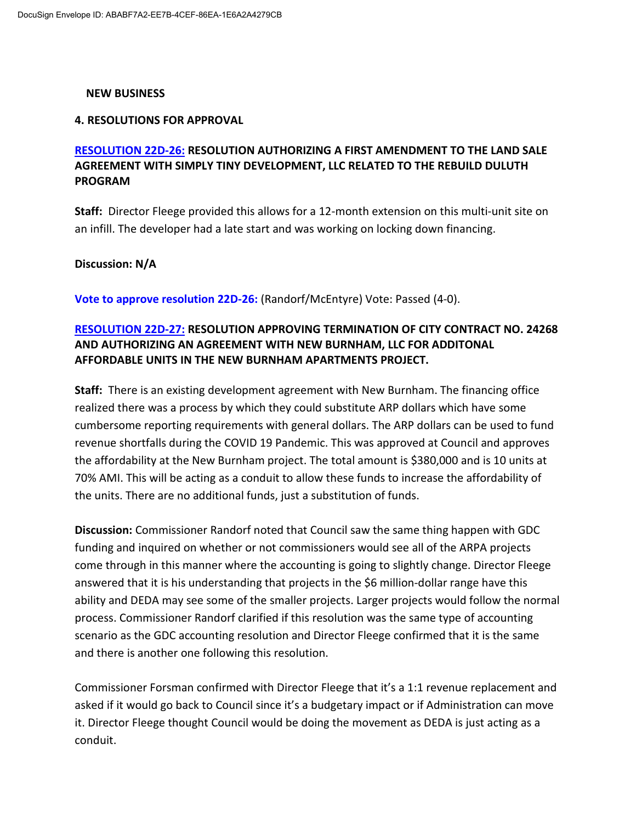#### **NEW BUSINESS**

#### **4. RESOLUTIONS FOR APPROVAL**

## **RESOLUTION 22D-26: RESOLUTION AUTHORIZING A FIRST AMENDMENT TO THE LAND SALE AGREEMENT WITH SIMPLY TINY DEVELOPMENT, LLC RELATED TO THE REBUILD DULUTH PROGRAM**

**Staff:** Director Fleege provided this allows for a 12-month extension on this multi-unit site on an infill. The developer had a late start and was working on locking down financing.

### **Discussion: N/A**

**Vote to approve resolution 22D-26:** (Randorf/McEntyre) Vote: Passed (4-0).

## **RESOLUTION 22D-27: RESOLUTION APPROVING TERMINATION OF CITY CONTRACT NO. 24268 AND AUTHORIZING AN AGREEMENT WITH NEW BURNHAM, LLC FOR ADDITONAL AFFORDABLE UNITS IN THE NEW BURNHAM APARTMENTS PROJECT.**

**Staff:** There is an existing development agreement with New Burnham. The financing office realized there was a process by which they could substitute ARP dollars which have some cumbersome reporting requirements with general dollars. The ARP dollars can be used to fund revenue shortfalls during the COVID 19 Pandemic. This was approved at Council and approves the affordability at the New Burnham project. The total amount is \$380,000 and is 10 units at 70% AMI. This will be acting as a conduit to allow these funds to increase the affordability of the units. There are no additional funds, just a substitution of funds.

**Discussion:** Commissioner Randorf noted that Council saw the same thing happen with GDC funding and inquired on whether or not commissioners would see all of the ARPA projects come through in this manner where the accounting is going to slightly change. Director Fleege answered that it is his understanding that projects in the \$6 million-dollar range have this ability and DEDA may see some of the smaller projects. Larger projects would follow the normal process. Commissioner Randorf clarified if this resolution was the same type of accounting scenario as the GDC accounting resolution and Director Fleege confirmed that it is the same and there is another one following this resolution.

Commissioner Forsman confirmed with Director Fleege that it's a 1:1 revenue replacement and asked if it would go back to Council since it's a budgetary impact or if Administration can move it. Director Fleege thought Council would be doing the movement as DEDA is just acting as a conduit.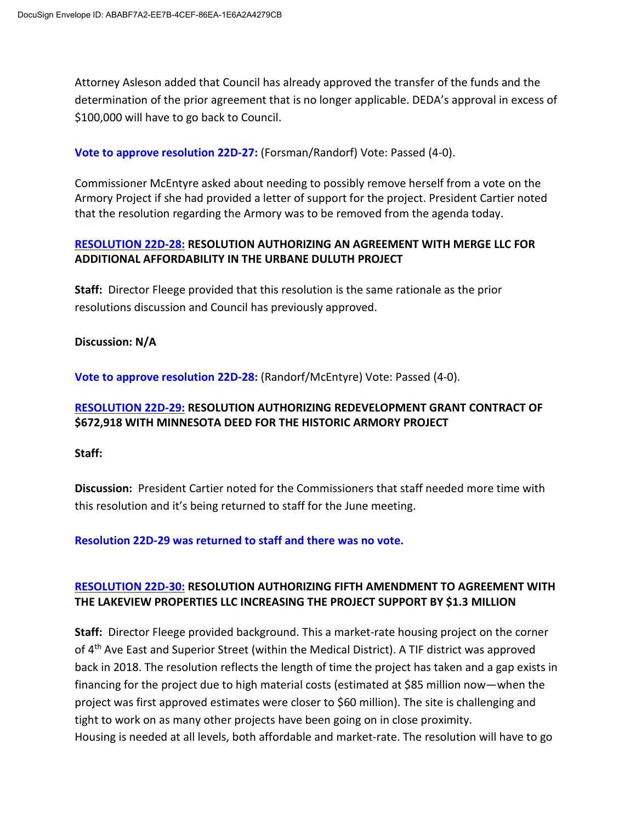Attorney Asleson added that Council has already approved the transfer of the funds and the determination of the prior agreement that is no longer applicable. DEDA's approval in excess of \$100,000 will have to go back to Council.

**Vote to approve resolution 22D-27:** (Forsman/Randorf) Vote: Passed (4-0).

Commissioner McEntyre asked about needing to possibly remove herself from a vote on the Armory Project if she had provided a letter of support for the project. President Cartier noted that the resolution regarding the Armory was to be removed from the agenda today.

## **RESOLUTION 22D-28: RESOLUTION AUTHORIZING AN AGREEMENT WITH MERGE LLC FOR ADDITIONAL AFFORDABILITY IN THE URBANE DULUTH PROJECT**

**Staff:** Director Fleege provided that this resolution is the same rationale as the prior resolutions discussion and Council has previously approved.

### **Discussion: N/A**

**Vote to approve resolution 22D-28:** (Randorf/McEntyre) Vote: Passed (4-0).

## **RESOLUTION 22D-29: RESOLUTION AUTHORIZING REDEVELOPMENT GRANT CONTRACT OF \$672,918 WITH MINNESOTA DEED FOR THE HISTORIC ARMORY PROJECT**

#### **Staff:**

**Discussion:** President Cartier noted for the Commissioners that staff needed more time with this resolution and it's being returned to staff for the June meeting.

**Resolution 22D-29 was returned to staff and there was no vote.** 

## **RESOLUTION 22D-30: RESOLUTION AUTHORIZING FIFTH AMENDMENT TO AGREEMENT WITH THE LAKEVIEW PROPERTIES LLC INCREASING THE PROJECT SUPPORT BY \$1.3 MILLION**

**Staff:** Director Fleege provided background. This a market-rate housing project on the corner of 4<sup>th</sup> Ave East and Superior Street (within the Medical District). A TIF district was approved back in 2018. The resolution reflects the length of time the project has taken and a gap exists in financing for the project due to high material costs (estimated at \$85 million now—when the project was first approved estimates were closer to \$60 million). The site is challenging and tight to work on as many other projects have been going on in close proximity. Housing is needed at all levels, both affordable and market-rate. The resolution will have to go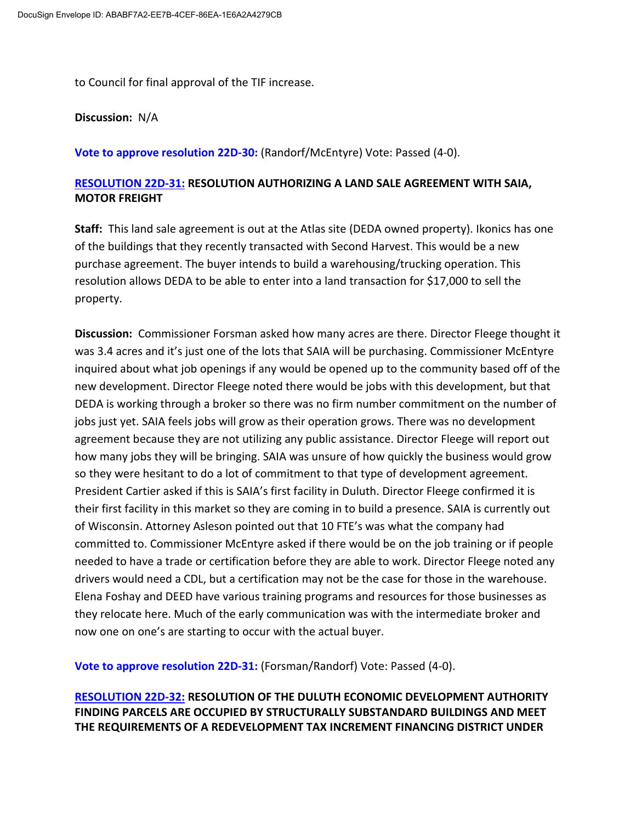to Council for final approval of the TIF increase.

**Discussion:** N/A

**Vote to approve resolution 22D-30:** (Randorf/McEntyre) Vote: Passed (4-0).

## **RESOLUTION 22D-31: RESOLUTION AUTHORIZING A LAND SALE AGREEMENT WITH SAIA, MOTOR FREIGHT**

**Staff:** This land sale agreement is out at the Atlas site (DEDA owned property). Ikonics has one of the buildings that they recently transacted with Second Harvest. This would be a new purchase agreement. The buyer intends to build a warehousing/trucking operation. This resolution allows DEDA to be able to enter into a land transaction for \$17,000 to sell the property.

**Discussion:** Commissioner Forsman asked how many acres are there. Director Fleege thought it was 3.4 acres and it's just one of the lots that SAIA will be purchasing. Commissioner McEntyre inquired about what job openings if any would be opened up to the community based off of the new development. Director Fleege noted there would be jobs with this development, but that DEDA is working through a broker so there was no firm number commitment on the number of jobs just yet. SAIA feels jobs will grow as their operation grows. There was no development agreement because they are not utilizing any public assistance. Director Fleege will report out how many jobs they will be bringing. SAIA was unsure of how quickly the business would grow so they were hesitant to do a lot of commitment to that type of development agreement. President Cartier asked if this is SAIA's first facility in Duluth. Director Fleege confirmed it is their first facility in this market so they are coming in to build a presence. SAIA is currently out of Wisconsin. Attorney Asleson pointed out that 10 FTE's was what the company had committed to. Commissioner McEntyre asked if there would be on the job training or if people needed to have a trade or certification before they are able to work. Director Fleege noted any drivers would need a CDL, but a certification may not be the case for those in the warehouse. Elena Foshay and DEED have various training programs and resources for those businesses as they relocate here. Much of the early communication was with the intermediate broker and now one on one's are starting to occur with the actual buyer.

**Vote to approve resolution 22D-31:** (Forsman/Randorf) Vote: Passed (4-0).

**RESOLUTION 22D-32: RESOLUTION OF THE DULUTH ECONOMIC DEVELOPMENT AUTHORITY FINDING PARCELS ARE OCCUPIED BY STRUCTURALLY SUBSTANDARD BUILDINGS AND MEET THE REQUIREMENTS OF A REDEVELOPMENT TAX INCREMENT FINANCING DISTRICT UNDER**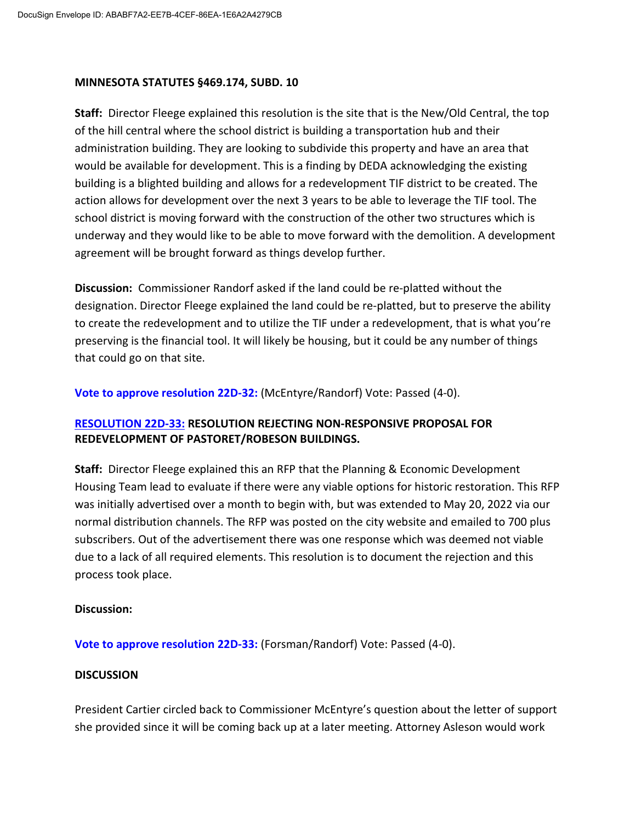#### **MINNESOTA STATUTES §469.174, SUBD. 10**

**Staff:** Director Fleege explained this resolution is the site that is the New/Old Central, the top of the hill central where the school district is building a transportation hub and their administration building. They are looking to subdivide this property and have an area that would be available for development. This is a finding by DEDA acknowledging the existing building is a blighted building and allows for a redevelopment TIF district to be created. The action allows for development over the next 3 years to be able to leverage the TIF tool. The school district is moving forward with the construction of the other two structures which is underway and they would like to be able to move forward with the demolition. A development agreement will be brought forward as things develop further.

**Discussion:** Commissioner Randorf asked if the land could be re-platted without the designation. Director Fleege explained the land could be re-platted, but to preserve the ability to create the redevelopment and to utilize the TIF under a redevelopment, that is what you're preserving is the financial tool. It will likely be housing, but it could be any number of things that could go on that site.

**Vote to approve resolution 22D-32:** (McEntyre/Randorf) Vote: Passed (4-0).

## **RESOLUTION 22D-33: RESOLUTION REJECTING NON-RESPONSIVE PROPOSAL FOR REDEVELOPMENT OF PASTORET/ROBESON BUILDINGS.**

**Staff:** Director Fleege explained this an RFP that the Planning & Economic Development Housing Team lead to evaluate if there were any viable options for historic restoration. This RFP was initially advertised over a month to begin with, but was extended to May 20, 2022 via our normal distribution channels. The RFP was posted on the city website and emailed to 700 plus subscribers. Out of the advertisement there was one response which was deemed not viable due to a lack of all required elements. This resolution is to document the rejection and this process took place.

#### **Discussion:**

#### **Vote to approve resolution 22D-33:** (Forsman/Randorf) Vote: Passed (4-0).

#### **DISCUSSION**

President Cartier circled back to Commissioner McEntyre's question about the letter of support she provided since it will be coming back up at a later meeting. Attorney Asleson would work